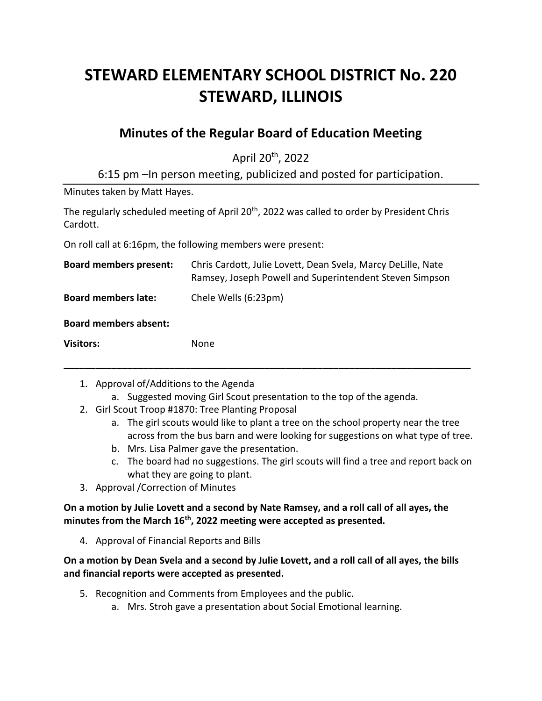# **STEWARD ELEMENTARY SCHOOL DISTRICT No. 220 STEWARD, ILLINOIS**

## **Minutes of the Regular Board of Education Meeting**

April 20th, 2022

6:15 pm –In person meeting, publicized and posted for participation.

Minutes taken by Matt Hayes.

The regularly scheduled meeting of April 20<sup>th</sup>, 2022 was called to order by President Chris Cardott.

On roll call at 6:16pm, the following members were present:

| <b>Board members present:</b> | Chris Cardott, Julie Lovett, Dean Svela, Marcy DeLille, Nate<br>Ramsey, Joseph Powell and Superintendent Steven Simpson |
|-------------------------------|-------------------------------------------------------------------------------------------------------------------------|
| <b>Board members late:</b>    | Chele Wells (6:23pm)                                                                                                    |
| <b>Board members absent:</b>  |                                                                                                                         |
| <b>Visitors:</b>              | None                                                                                                                    |

- 1. Approval of/Additions to the Agenda
	- a. Suggested moving Girl Scout presentation to the top of the agenda.

**\_\_\_\_\_\_\_\_\_\_\_\_\_\_\_\_\_\_\_\_\_\_\_\_\_\_\_\_\_\_\_\_\_\_\_\_\_\_\_\_\_\_\_\_\_\_\_\_\_\_\_\_\_\_\_\_\_\_\_\_\_\_\_\_\_\_\_\_\_\_\_\_\_\_\_\_\_**

- 2. Girl Scout Troop #1870: Tree Planting Proposal
	- a. The girl scouts would like to plant a tree on the school property near the tree across from the bus barn and were looking for suggestions on what type of tree.
	- b. Mrs. Lisa Palmer gave the presentation.
	- c. The board had no suggestions. The girl scouts will find a tree and report back on what they are going to plant.
- 3. Approval /Correction of Minutes

**On a motion by Julie Lovett and a second by Nate Ramsey, and a roll call of all ayes, the minutes from the March 16th, 2022 meeting were accepted as presented.**

4. Approval of Financial Reports and Bills

**On a motion by Dean Svela and a second by Julie Lovett, and a roll call of all ayes, the bills and financial reports were accepted as presented.**

- 5. Recognition and Comments from Employees and the public.
	- a. Mrs. Stroh gave a presentation about Social Emotional learning.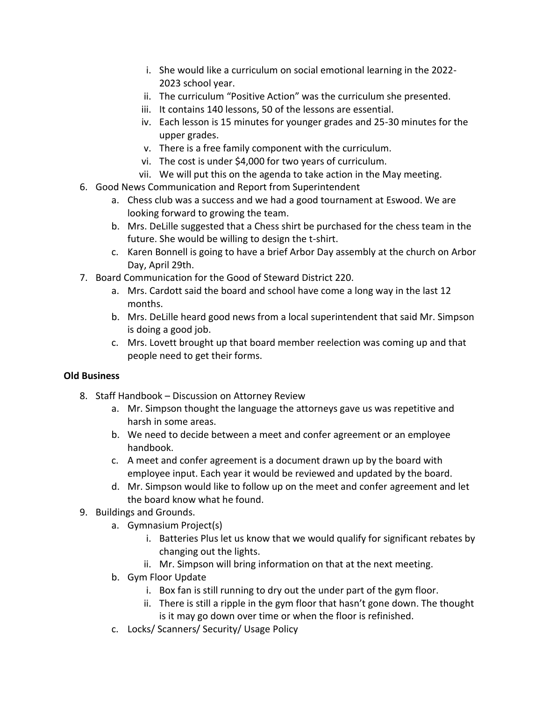- i. She would like a curriculum on social emotional learning in the 2022- 2023 school year.
- ii. The curriculum "Positive Action" was the curriculum she presented.
- iii. It contains 140 lessons, 50 of the lessons are essential.
- iv. Each lesson is 15 minutes for younger grades and 25-30 minutes for the upper grades.
- v. There is a free family component with the curriculum.
- vi. The cost is under \$4,000 for two years of curriculum.
- vii. We will put this on the agenda to take action in the May meeting.
- 6. Good News Communication and Report from Superintendent
	- a. Chess club was a success and we had a good tournament at Eswood. We are looking forward to growing the team.
	- b. Mrs. DeLille suggested that a Chess shirt be purchased for the chess team in the future. She would be willing to design the t-shirt.
	- c. Karen Bonnell is going to have a brief Arbor Day assembly at the church on Arbor Day, April 29th.
- 7. Board Communication for the Good of Steward District 220.
	- a. Mrs. Cardott said the board and school have come a long way in the last 12 months.
	- b. Mrs. DeLille heard good news from a local superintendent that said Mr. Simpson is doing a good job.
	- c. Mrs. Lovett brought up that board member reelection was coming up and that people need to get their forms.

#### **Old Business**

- 8. Staff Handbook Discussion on Attorney Review
	- a. Mr. Simpson thought the language the attorneys gave us was repetitive and harsh in some areas.
	- b. We need to decide between a meet and confer agreement or an employee handbook.
	- c. A meet and confer agreement is a document drawn up by the board with employee input. Each year it would be reviewed and updated by the board.
	- d. Mr. Simpson would like to follow up on the meet and confer agreement and let the board know what he found.
- 9. Buildings and Grounds.
	- a. Gymnasium Project(s)
		- i. Batteries Plus let us know that we would qualify for significant rebates by changing out the lights.
		- ii. Mr. Simpson will bring information on that at the next meeting.
	- b. Gym Floor Update
		- i. Box fan is still running to dry out the under part of the gym floor.
		- ii. There is still a ripple in the gym floor that hasn't gone down. The thought is it may go down over time or when the floor is refinished.
	- c. Locks/ Scanners/ Security/ Usage Policy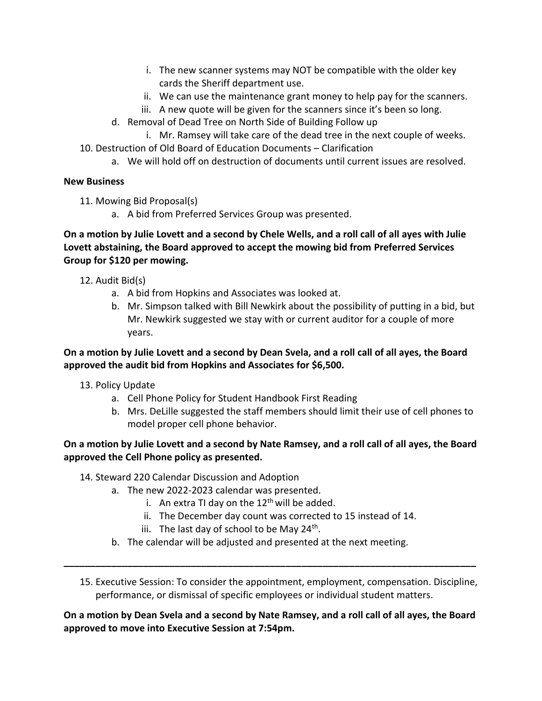- i. The new scanner systems may NOT be compatible with the older key cards the Sheriff department use.
- ii. We can use the maintenance grant money to help pay for the scanners.
- iii. A new quote will be given for the scanners since it's been so long.
- d. Removal of Dead Tree on North Side of Building Follow up
	- i. Mr. Ramsey will take care of the dead tree in the next couple of weeks.
- 10. Destruction of Old Board of Education Documents Clarification
	- a. We will hold off on destruction of documents until current issues are resolved.

#### **New Business**

11. Mowing Bid Proposal(s)

a. A bid from Preferred Services Group was presented.

#### **On a motion by Julie Lovett and a second by Chele Wells, and a roll call of all ayes with Julie Lovett abstaining, the Board approved to accept the mowing bid from Preferred Services Group for \$120 per mowing.**

- 12. Audit Bid(s)
	- a. A bid from Hopkins and Associates was looked at.
	- b. Mr. Simpson talked with Bill Newkirk about the possibility of putting in a bid, but Mr. Newkirk suggested we stay with or current auditor for a couple of more years.

#### **On a motion by Julie Lovett and a second by Dean Svela, and a roll call of all ayes, the Board approved the audit bid from Hopkins and Associates for \$6,500.**

- 13. Policy Update
	- a. Cell Phone Policy for Student Handbook First Reading
	- b. Mrs. DeLille suggested the staff members should limit their use of cell phones to model proper cell phone behavior.

### **On a motion by Julie Lovett and a second by Nate Ramsey, and a roll call of all ayes, the Board approved the Cell Phone policy as presented.**

- 14. Steward 220 Calendar Discussion and Adoption
	- a. The new 2022-2023 calendar was presented.
		- i. An extra TI day on the  $12<sup>th</sup>$  will be added.
		- ii. The December day count was corrected to 15 instead of 14.
		- iii. The last day of school to be May 24<sup>th</sup>.
	- b. The calendar will be adjusted and presented at the next meeting.
- 15. Executive Session: To consider the appointment, employment, compensation. Discipline, performance, or dismissal of specific employees or individual student matters.

#### **On a motion by Dean Svela and a second by Nate Ramsey, and a roll call of all ayes, the Board approved to move into Executive Session at 7:54pm.**

**\_\_\_\_\_\_\_\_\_\_\_\_\_\_\_\_\_\_\_\_\_\_\_\_\_\_\_\_\_\_\_\_\_\_\_\_\_\_\_\_\_\_\_\_\_\_\_\_\_\_\_\_\_\_\_\_\_\_\_\_\_\_\_\_\_\_\_\_\_\_\_\_\_\_\_\_\_\_**